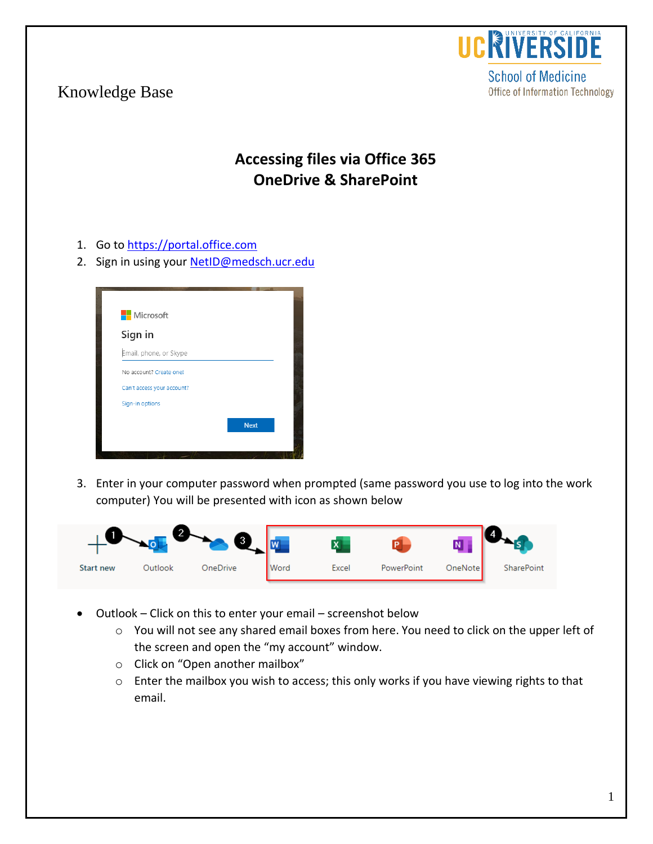

**School of Medicine** Office of Information Technology

## Knowledge Base

## **Accessing files via Office 365 OneDrive & SharePoint**

- 1. Go to [https://portal.office.com](https://portal.office.com/)
- 2. Sign in using your [NetID@medsch.ucr.edu](mailto:NetID@medsch.ucr.edu)



3. Enter in your computer password when prompted (same password you use to log into the work computer) You will be presented with icon as shown below



- Outlook Click on this to enter your email screenshot below
	- o You will not see any shared email boxes from here. You need to click on the upper left of the screen and open the "my account" window.
	- o Click on "Open another mailbox"
	- o Enter the mailbox you wish to access; this only works if you have viewing rights to that email.